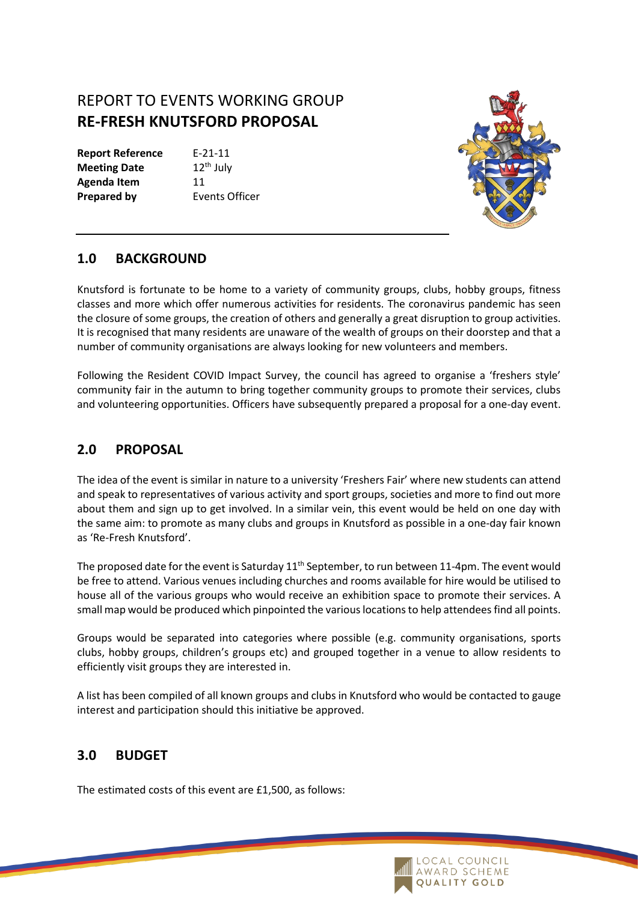# REPORT TO EVENTS WORKING GROUP **RE-FRESH KNUTSFORD PROPOSAL**

**Report Reference** E-21-11 **Meeting Date** 12<sup>th</sup> July Agenda Item 11 **Prepared by** Events Officer



#### **1.0 BACKGROUND**

Knutsford is fortunate to be home to a variety of community groups, clubs, hobby groups, fitness classes and more which offer numerous activities for residents. The coronavirus pandemic has seen the closure of some groups, the creation of others and generally a great disruption to group activities. It is recognised that many residents are unaware of the wealth of groups on their doorstep and that a number of community organisations are always looking for new volunteers and members.

Following the Resident COVID Impact Survey, the council has agreed to organise a 'freshers style' community fair in the autumn to bring together community groups to promote their services, clubs and volunteering opportunities. Officers have subsequently prepared a proposal for a one-day event.

#### **2.0 PROPOSAL**

The idea of the event is similar in nature to a university 'Freshers Fair' where new students can attend and speak to representatives of various activity and sport groups, societies and more to find out more about them and sign up to get involved. In a similar vein, this event would be held on one day with the same aim: to promote as many clubs and groups in Knutsford as possible in a one-day fair known as 'Re-Fresh Knutsford'.

The proposed date for the event is Saturday 11<sup>th</sup> September, to run between 11-4pm. The event would be free to attend. Various venues including churches and rooms available for hire would be utilised to house all of the various groups who would receive an exhibition space to promote their services. A small map would be produced which pinpointed the various locations to help attendees find all points.

Groups would be separated into categories where possible (e.g. community organisations, sports clubs, hobby groups, children's groups etc) and grouped together in a venue to allow residents to efficiently visit groups they are interested in.

A list has been compiled of all known groups and clubs in Knutsford who would be contacted to gauge interest and participation should this initiative be approved.

## **3.0 BUDGET**

The estimated costs of this event are £1,500, as follows: